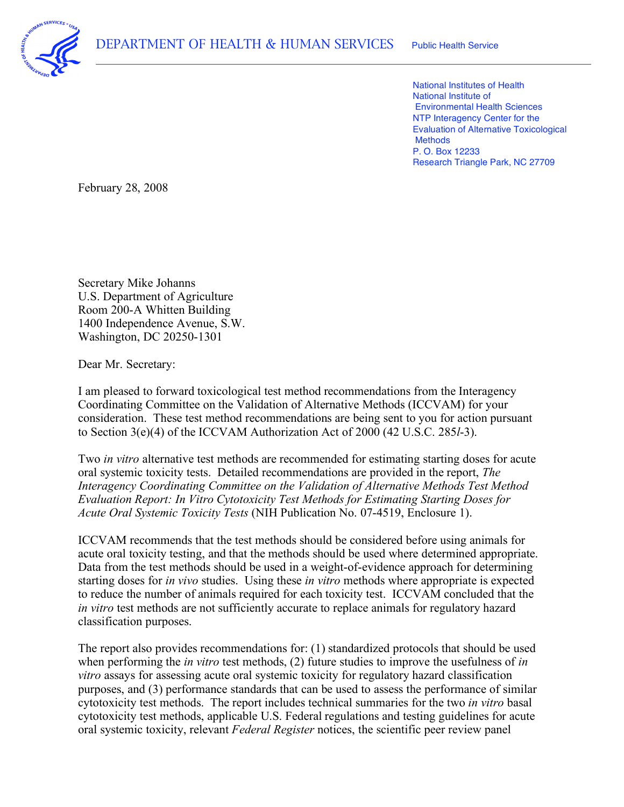

 National Institutes of Health National Institute of Environmental Health Sciences NTP Interagency Center for the Evaluation of Alternative Toxicological P. O. Box 12233 Research Triangle Park, NC 27709 **Methods** 

February 28, 2008

 U.S. Department of Agriculture Room 200-A Whitten Building 1400 Independence Avenue, S.W. Washington, DC 20250-1301 Secretary Mike Johanns

Dear Mr. Secretary:

 I am pleased to forward toxicological test method recommendations from the Interagency Coordinating Committee on the Validation of Alternative Methods (ICCVAM) for your consideration. These test method recommendations are being sent to you for action pursuant to Section 3(e)(4) of the ICCVAM Authorization Act of 2000 (42 U.S.C. 285*l*-3).

 Two *in vitro* alternative test methods are recommended for estimating starting doses for acute oral systemic toxicity tests. Detailed recommendations are provided in the report, *The Interagency Coordinating Committee on the Validation of Alternative Methods Test Method Evaluation Report: In Vitro Cytotoxicity Test Methods for Estimating Starting Doses for Acute Oral Systemic Toxicity Tests* (NIH Publication No. 07-4519, Enclosure 1).

 ICCVAM recommends that the test methods should be considered before using animals for acute oral toxicity testing, and that the methods should be used where determined appropriate. Data from the test methods should be used in a weight-of-evidence approach for determining starting doses for *in vivo* studies. Using these *in vitro* methods where appropriate is expected to reduce the number of animals required for each toxicity test. ICCVAM concluded that the *in vitro* test methods are not sufficiently accurate to replace animals for regulatory hazard classification purposes.

 The report also provides recommendations for: (1) standardized protocols that should be used when performing the *in vitro* test methods, (2) future studies to improve the usefulness of *in vitro* assays for assessing acute oral systemic toxicity for regulatory hazard classification purposes, and (3) performance standards that can be used to assess the performance of similar cytotoxicity test methods. The report includes technical summaries for the two *in vitro* basal cytotoxicity test methods, applicable U.S. Federal regulations and testing guidelines for acute oral systemic toxicity, relevant *Federal Register* notices, the scientific peer review panel